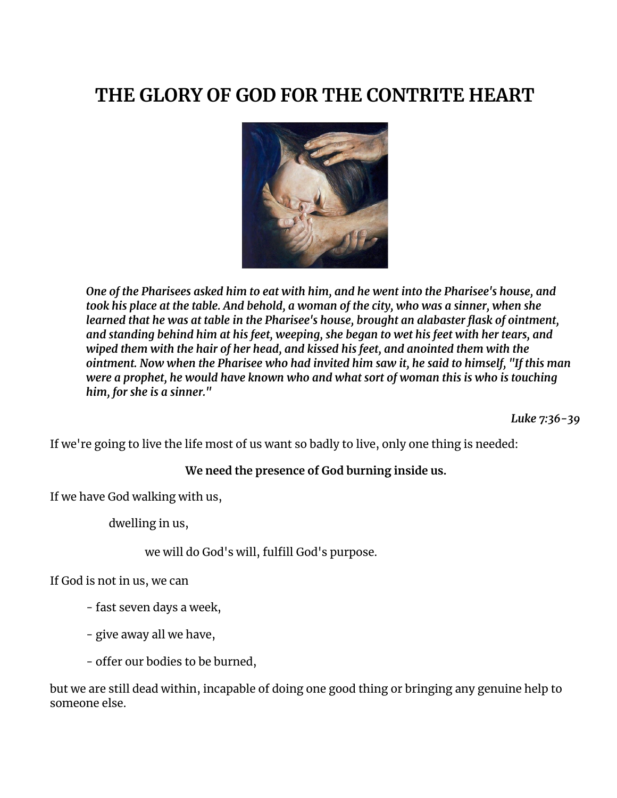# **THE GLORY OF GOD FOR THE CONTRITE HEART**



*One of the Pharisees asked him to eat with him, and he went into the Pharisee's house, and took his place at the table. And behold, a woman of the city, who was a sinner, when she learned that he was at table in the Pharisee's house, brought an alabaster flask of ointment, and standing behind him at his feet, weeping, she began to wet his feet with her tears, and wiped them with the hair of her head, and kissed his feet, and anointed them with the ointment. Now when the Pharisee who had invited him saw it, he said to himself, "If this man were a prophet, he would have known who and what sort of woman this is who is touching him, for she is a sinner."*

*Luke 7:36-39*

If we're going to live the life most of us want so badly to live, only one thing is needed:

#### **We need the presence of God burning inside us.**

If we have God walking with us,

dwelling in us,

we will do God's will, fulfill God's purpose.

If God is not in us, we can

- fast seven days a week,
- give away all we have,
- offer our bodies to be burned,

but we are still dead within, incapable of doing one good thing or bringing any genuine help to someone else.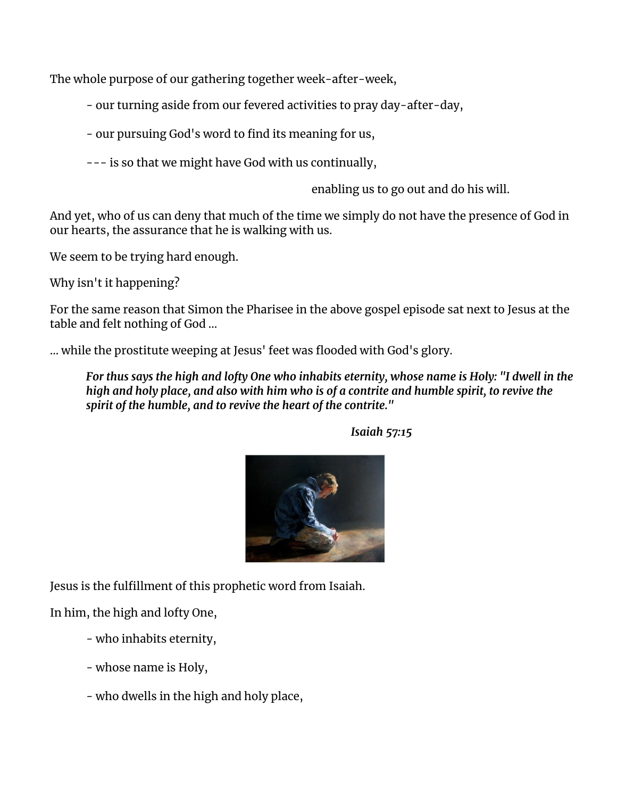The whole purpose of our gathering together week-after-week,

- our turning aside from our fevered activities to pray day-after-day,

- our pursuing God's word to find its meaning for us,

--- is so that we might have God with us continually,

enabling us to go out and do his will.

And yet, who of us can deny that much of the time we simply do not have the presence of God in our hearts, the assurance that he is walking with us.

We seem to be trying hard enough.

Why isn't it happening?

For the same reason that Simon the Pharisee in the above gospel episode sat next to Jesus at the table and felt nothing of God ...

… while the prostitute weeping at Jesus' feet was flooded with God's glory.

For thus says the high and lofty One who inhabits eternity, whose name is Holy: "I dwell in the high and holy place, and also with him who is of a contrite and humble spirit, to revive the *spirit of the humble, and to revive the heart of the contrite."*



*Isaiah 57:15*

Jesus is the fulfillment of this prophetic word from Isaiah.

In him, the high and lofty One,

- who inhabits eternity,
- whose name is Holy,
- who dwells in the high and holy place,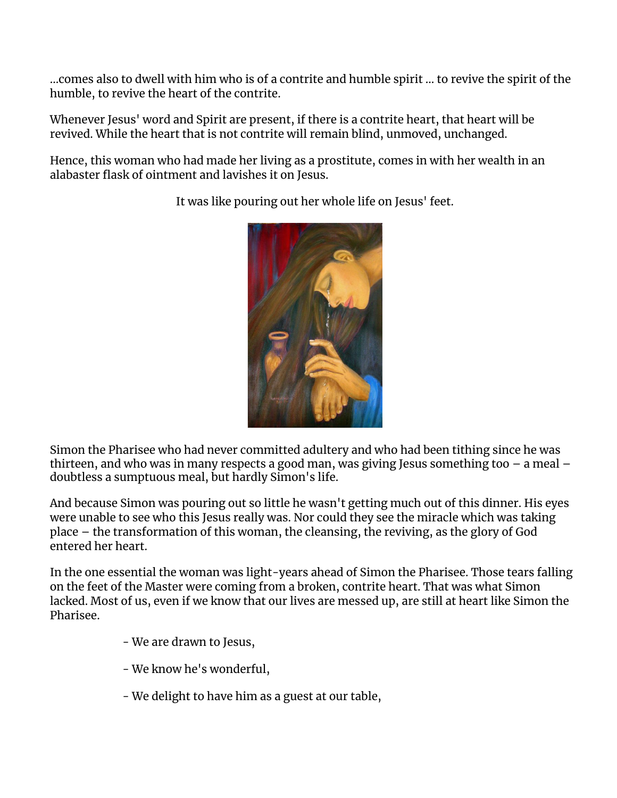...comes also to dwell with him who is of a contrite and humble spirit ... to revive the spirit of the humble, to revive the heart of the contrite.

Whenever Jesus' word and Spirit are present, if there is a contrite heart, that heart will be revived. While the heart that is not contrite will remain blind, unmoved, unchanged.

Hence, this woman who had made her living as a prostitute, comes in with her wealth in an alabaster flask of ointment and lavishes it on Jesus.



It was like pouring out her whole life on Jesus' feet.

Simon the Pharisee who had never committed adultery and who had been tithing since he was thirteen, and who was in many respects a good man, was giving Jesus something too – a meal – doubtless a sumptuous meal, but hardly Simon's life.

And because Simon was pouring out so little he wasn't getting much out of this dinner. His eyes were unable to see who this Jesus really was. Nor could they see the miracle which was taking place – the transformation of this woman, the cleansing, the reviving, as the glory of God entered her heart.

In the one essential the woman was light-years ahead of Simon the Pharisee. Those tears falling on the feet of the Master were coming from a broken, contrite heart. That was what Simon lacked. Most of us, even if we know that our lives are messed up, are still at heart like Simon the Pharisee.

- We are drawn to Jesus,
- We know he's wonderful,
- We delight to have him as a guest at our table,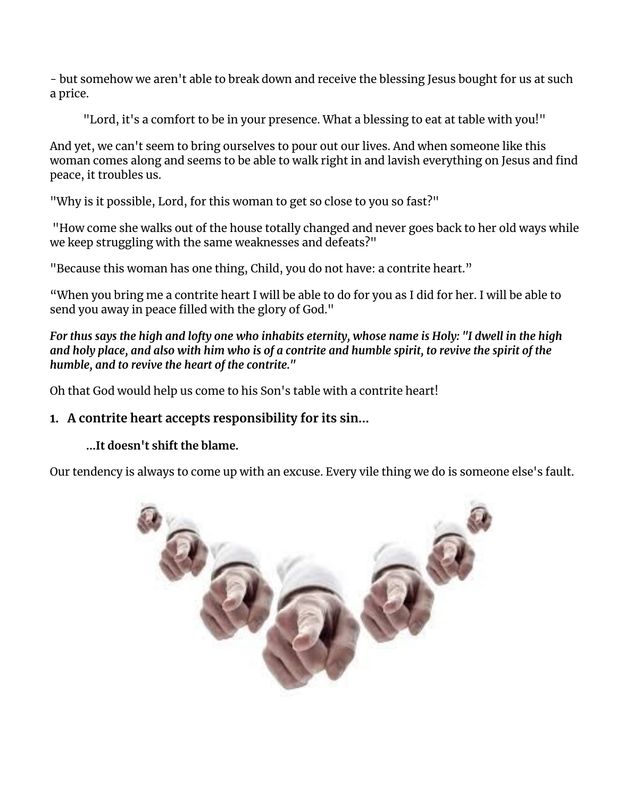- but somehow we aren't able to break down and receive the blessing Jesus bought for us at such a price.

"Lord, it's a comfort to be in your presence. What a blessing to eat at table with you!"

And yet, we can't seem to bring ourselves to pour out our lives. And when someone like this woman comes along and seems to be able to walk right in and lavish everything on Jesus and find peace, it troubles us.

"Why is it possible, Lord, for this woman to get so close to you so fast?"

"How come she walks out of the house totally changed and never goes back to her old ways while we keep struggling with the same weaknesses and defeats?"

"Because this woman has one thing, Child, you do not have: a contrite heart."

"When you bring me a contrite heart I will be able to do for you as I did for her. I will be able to send you away in peace filled with the glory of God."

For thus says the high and lofty one who inhabits eternity, whose name is Holy: "I dwell in the high and holy place, and also with him who is of a contrite and humble spirit, to revive the spirit of the *humble, and to revive the heart of the contrite."*

Oh that God would help us come to his Son's table with a contrite heart!

## **1. A contrite heart accepts responsibility for its sin...**

### **...It doesn't shift the blame.**

Our tendency is always to come up with an excuse. Every vile thing we do is someone else's fault.

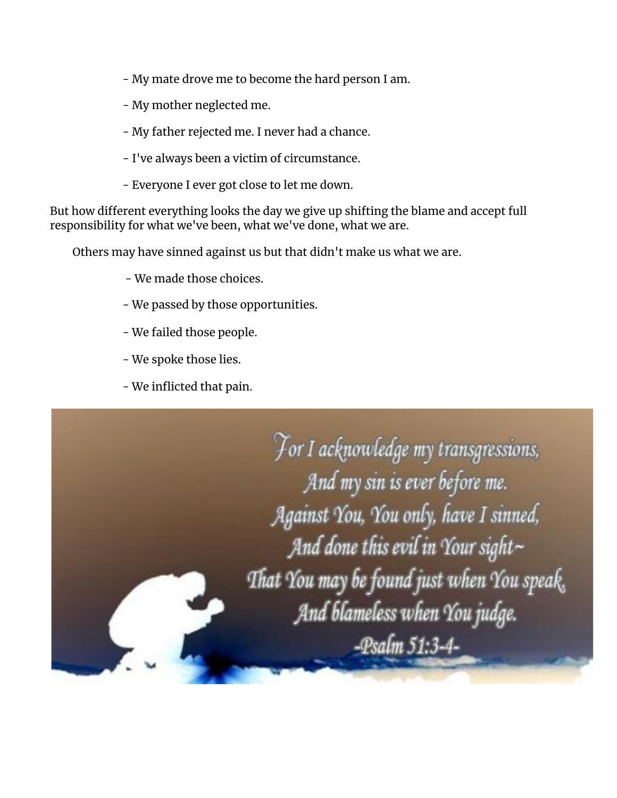- My mate drove me to become the hard person I am.
- My mother neglected me.
- My father rejected me. I never had a chance.
- I've always been a victim of circumstance.
- Everyone I ever got close to let me down.

But how different everything looks the day we give up shifting the blame and accept full responsibility for what we've been, what we've done, what we are.

Others may have sinned against us but that didn't make us what we are.

- We made those choices.
- We passed by those opportunities.
- We failed those people.
- We spoke those lies.
- We inflicted that pain.

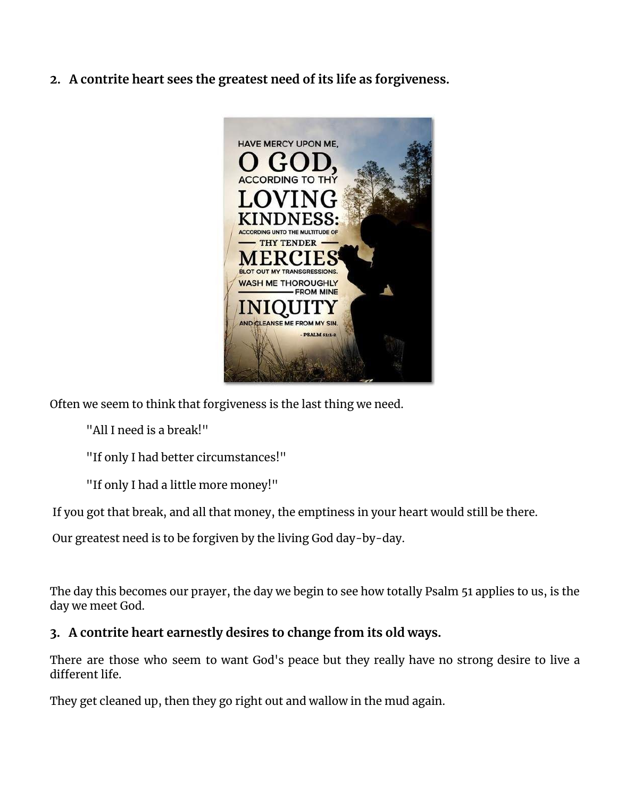**2. A contrite heart sees the greatest need of its life as forgiveness.**



Often we seem to think that forgiveness is the last thing we need.

"All I need is a break!"

"If only I had better circumstances!"

"If only I had a little more money!"

If you got that break, and all that money, the emptiness in your heart would still be there.

Our greatest need is to be forgiven by the living God day-by-day.

The day this becomes our prayer, the day we begin to see how totally Psalm 51 applies to us, is the day we meet God.

### **3. A contrite heart earnestly desires to change from its old ways.**

There are those who seem to want God's peace but they really have no strong desire to live a different life.

They get cleaned up, then they go right out and wallow in the mud again.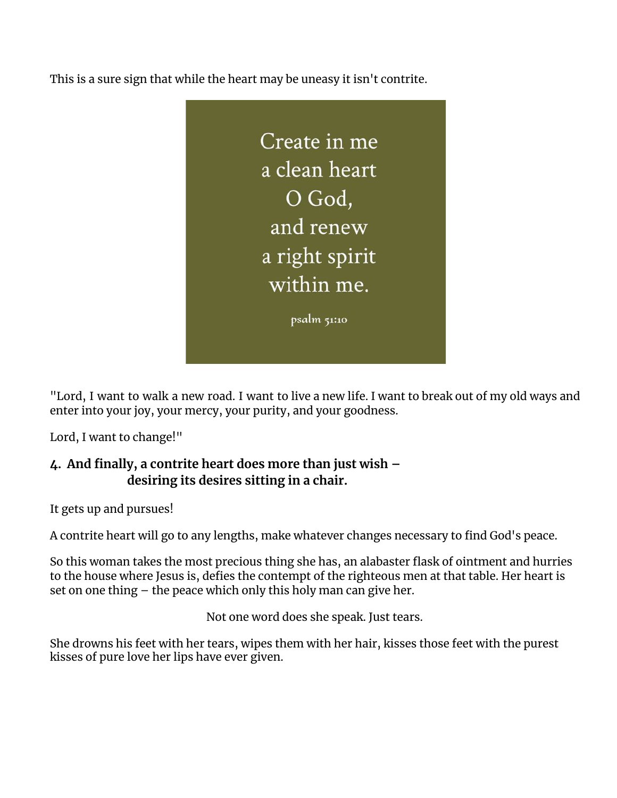This is a sure sign that while the heart may be uneasy it isn't contrite.



"Lord, I want to walk a new road. I want to live a new life. I want to break out of my old ways and enter into your joy, your mercy, your purity, and your goodness.

Lord, I want to change!"

## **4. And finally, a contrite heart does more than just wish – desiring its desires sitting in a chair.**

It gets up and pursues!

A contrite heart will go to any lengths, make whatever changes necessary to find God's peace.

So this woman takes the most precious thing she has, an alabaster flask of ointment and hurries to the house where Jesus is, defies the contempt of the righteous men at that table. Her heart is set on one thing – the peace which only this holy man can give her.

Not one word does she speak. Just tears.

She drowns his feet with her tears, wipes them with her hair, kisses those feet with the purest kisses of pure love her lips have ever given.